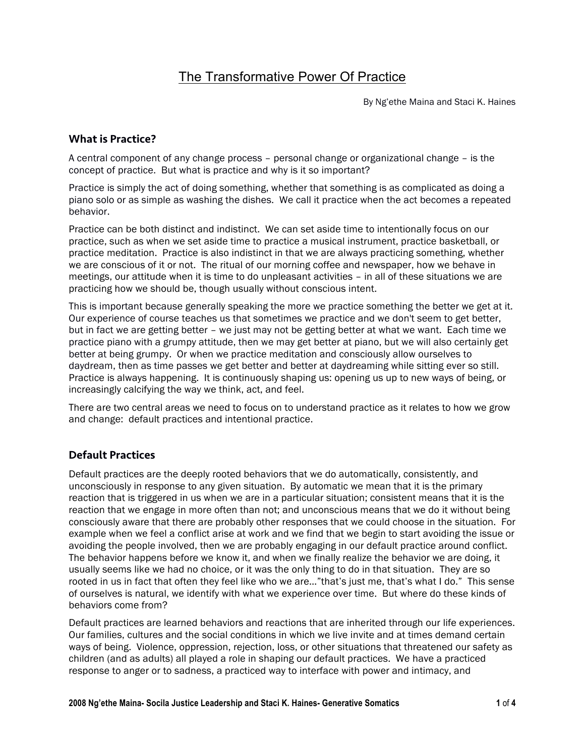# The Transformative Power Of Practice

By Ng'ethe Maina and Staci K. Haines

## What is Practice?

A central component of any change process – personal change or organizational change – is the concept of practice. But what is practice and why is it so important?

Practice is simply the act of doing something, whether that something is as complicated as doing a piano solo or as simple as washing the dishes. We call it practice when the act becomes a repeated behavior.

Practice can be both distinct and indistinct. We can set aside time to intentionally focus on our practice, such as when we set aside time to practice a musical instrument, practice basketball, or practice meditation. Practice is also indistinct in that we are always practicing something, whether we are conscious of it or not. The ritual of our morning coffee and newspaper, how we behave in meetings, our attitude when it is time to do unpleasant activities – in all of these situations we are practicing how we should be, though usually without conscious intent.

This is important because generally speaking the more we practice something the better we get at it. Our experience of course teaches us that sometimes we practice and we don't seem to get better, but in fact we are getting better – we just may not be getting better at what we want. Each time we practice piano with a grumpy attitude, then we may get better at piano, but we will also certainly get better at being grumpy. Or when we practice meditation and consciously allow ourselves to daydream, then as time passes we get better and better at daydreaming while sitting ever so still. Practice is always happening. It is continuously shaping us: opening us up to new ways of being, or increasingly calcifying the way we think, act, and feel.

There are two central areas we need to focus on to understand practice as it relates to how we grow and change: default practices and intentional practice.

## Default Practices

Default practices are the deeply rooted behaviors that we do automatically, consistently, and unconsciously in response to any given situation. By automatic we mean that it is the primary reaction that is triggered in us when we are in a particular situation; consistent means that it is the reaction that we engage in more often than not; and unconscious means that we do it without being consciously aware that there are probably other responses that we could choose in the situation. For example when we feel a conflict arise at work and we find that we begin to start avoiding the issue or avoiding the people involved, then we are probably engaging in our default practice around conflict. The behavior happens before we know it, and when we finally realize the behavior we are doing, it usually seems like we had no choice, or it was the only thing to do in that situation. They are so rooted in us in fact that often they feel like who we are..."that's just me, that's what I do." This sense of ourselves is natural, we identify with what we experience over time. But where do these kinds of behaviors come from?

Default practices are learned behaviors and reactions that are inherited through our life experiences. Our families, cultures and the social conditions in which we live invite and at times demand certain ways of being. Violence, oppression, rejection, loss, or other situations that threatened our safety as children (and as adults) all played a role in shaping our default practices. We have a practiced response to anger or to sadness, a practiced way to interface with power and intimacy, and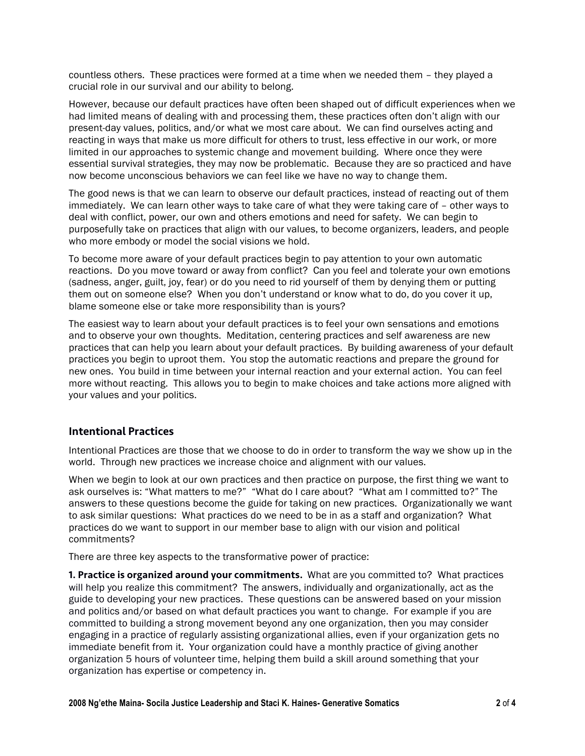countless others. These practices were formed at a time when we needed them – they played a crucial role in our survival and our ability to belong.

However, because our default practices have often been shaped out of difficult experiences when we had limited means of dealing with and processing them, these practices often don't align with our present-day values, politics, and/or what we most care about. We can find ourselves acting and reacting in ways that make us more difficult for others to trust, less effective in our work, or more limited in our approaches to systemic change and movement building. Where once they were essential survival strategies, they may now be problematic. Because they are so practiced and have now become unconscious behaviors we can feel like we have no way to change them.

The good news is that we can learn to observe our default practices, instead of reacting out of them immediately. We can learn other ways to take care of what they were taking care of – other ways to deal with conflict, power, our own and others emotions and need for safety. We can begin to purposefully take on practices that align with our values, to become organizers, leaders, and people who more embody or model the social visions we hold.

To become more aware of your default practices begin to pay attention to your own automatic reactions. Do you move toward or away from conflict? Can you feel and tolerate your own emotions (sadness, anger, guilt, joy, fear) or do you need to rid yourself of them by denying them or putting them out on someone else? When you don't understand or know what to do, do you cover it up, blame someone else or take more responsibility than is yours?

The easiest way to learn about your default practices is to feel your own sensations and emotions and to observe your own thoughts. Meditation, centering practices and self awareness are new practices that can help you learn about your default practices. By building awareness of your default practices you begin to uproot them. You stop the automatic reactions and prepare the ground for new ones. You build in time between your internal reaction and your external action. You can feel more without reacting. This allows you to begin to make choices and take actions more aligned with your values and your politics.

### Intentional Practices

Intentional Practices are those that we choose to do in order to transform the way we show up in the world. Through new practices we increase choice and alignment with our values.

When we begin to look at our own practices and then practice on purpose, the first thing we want to ask ourselves is: "What matters to me?" "What do I care about? "What am I committed to?" The answers to these questions become the guide for taking on new practices. Organizationally we want to ask similar questions: What practices do we need to be in as a staff and organization? What practices do we want to support in our member base to align with our vision and political commitments?

There are three key aspects to the transformative power of practice:

1. Practice is organized around your commitments. What are you committed to? What practices will help you realize this commitment? The answers, individually and organizationally, act as the guide to developing your new practices. These questions can be answered based on your mission and politics and/or based on what default practices you want to change. For example if you are committed to building a strong movement beyond any one organization, then you may consider engaging in a practice of regularly assisting organizational allies, even if your organization gets no immediate benefit from it. Your organization could have a monthly practice of giving another organization 5 hours of volunteer time, helping them build a skill around something that your organization has expertise or competency in.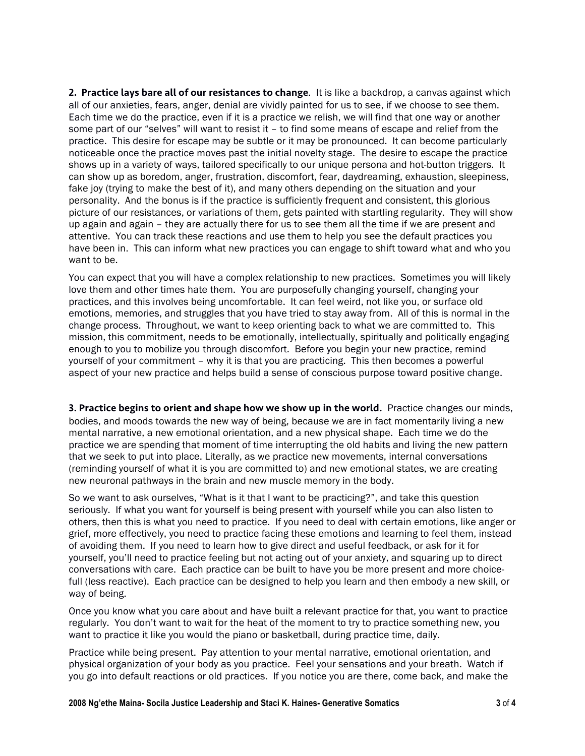2. Practice lays bare all of our resistances to change. It is like a backdrop, a canvas against which all of our anxieties, fears, anger, denial are vividly painted for us to see, if we choose to see them. Each time we do the practice, even if it is a practice we relish, we will find that one way or another some part of our "selves" will want to resist it – to find some means of escape and relief from the practice. This desire for escape may be subtle or it may be pronounced. It can become particularly noticeable once the practice moves past the initial novelty stage. The desire to escape the practice shows up in a variety of ways, tailored specifically to our unique persona and hot-button triggers. It can show up as boredom, anger, frustration, discomfort, fear, daydreaming, exhaustion, sleepiness, fake joy (trying to make the best of it), and many others depending on the situation and your personality. And the bonus is if the practice is sufficiently frequent and consistent, this glorious picture of our resistances, or variations of them, gets painted with startling regularity. They will show up again and again – they are actually there for us to see them all the time if we are present and attentive. You can track these reactions and use them to help you see the default practices you have been in. This can inform what new practices you can engage to shift toward what and who you want to be.

You can expect that you will have a complex relationship to new practices. Sometimes you will likely love them and other times hate them. You are purposefully changing yourself, changing your practices, and this involves being uncomfortable. It can feel weird, not like you, or surface old emotions, memories, and struggles that you have tried to stay away from. All of this is normal in the change process. Throughout, we want to keep orienting back to what we are committed to. This mission, this commitment, needs to be emotionally, intellectually, spiritually and politically engaging enough to you to mobilize you through discomfort. Before you begin your new practice, remind yourself of your commitment – why it is that you are practicing. This then becomes a powerful aspect of your new practice and helps build a sense of conscious purpose toward positive change.

3. Practice begins to orient and shape how we show up in the world. Practice changes our minds, bodies, and moods towards the new way of being, because we are in fact momentarily living a new mental narrative, a new emotional orientation, and a new physical shape. Each time we do the practice we are spending that moment of time interrupting the old habits and living the new pattern that we seek to put into place. Literally, as we practice new movements, internal conversations (reminding yourself of what it is you are committed to) and new emotional states, we are creating new neuronal pathways in the brain and new muscle memory in the body.

So we want to ask ourselves, "What is it that I want to be practicing?", and take this question seriously. If what you want for yourself is being present with yourself while you can also listen to others, then this is what you need to practice. If you need to deal with certain emotions, like anger or grief, more effectively, you need to practice facing these emotions and learning to feel them, instead of avoiding them. If you need to learn how to give direct and useful feedback, or ask for it for yourself, you'll need to practice feeling but not acting out of your anxiety, and squaring up to direct conversations with care. Each practice can be built to have you be more present and more choicefull (less reactive). Each practice can be designed to help you learn and then embody a new skill, or way of being.

Once you know what you care about and have built a relevant practice for that, you want to practice regularly. You don't want to wait for the heat of the moment to try to practice something new, you want to practice it like you would the piano or basketball, during practice time, daily.

Practice while being present. Pay attention to your mental narrative, emotional orientation, and physical organization of your body as you practice. Feel your sensations and your breath. Watch if you go into default reactions or old practices. If you notice you are there, come back, and make the

**2008 Ng'ethe Maina- Socila Justice Leadership and Staci K. Haines- Generative Somatics 3** of **4**